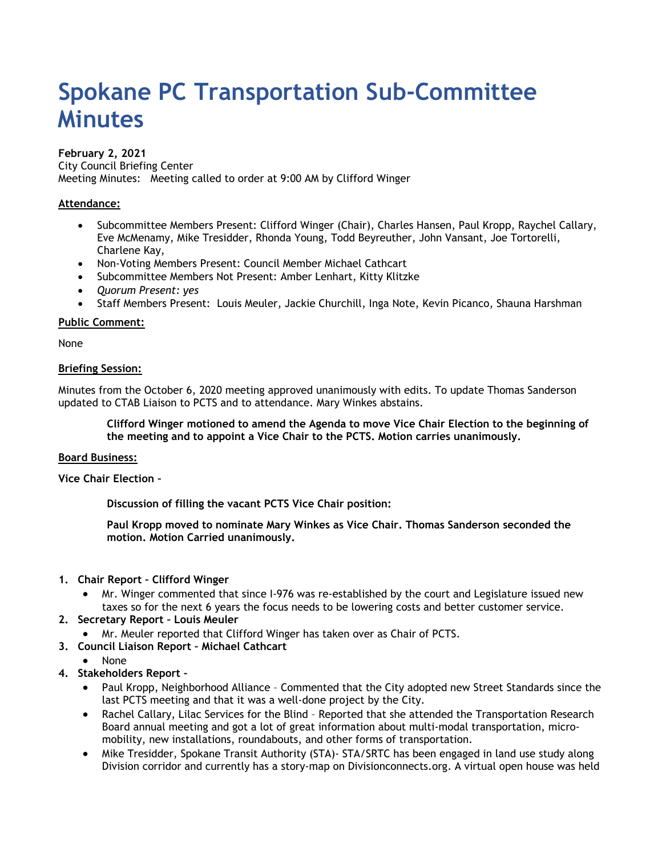# **Spokane PC Transportation Sub-Committee Minutes**

## **February 2, 2021**

City Council Briefing Center Meeting Minutes: Meeting called to order at 9:00 AM by Clifford Winger

# **Attendance:**

- Subcommittee Members Present: Clifford Winger (Chair), Charles Hansen, Paul Kropp, Raychel Callary, Eve McMenamy, Mike Tresidder, Rhonda Young, Todd Beyreuther, John Vansant, Joe Tortorelli, Charlene Kay,
- Non-Voting Members Present: Council Member Michael Cathcart
- Subcommittee Members Not Present: Amber Lenhart, Kitty Klitzke
- *Quorum Present: yes*
- Staff Members Present: Louis Meuler, Jackie Churchill, Inga Note, Kevin Picanco, Shauna Harshman

#### **Public Comment:**

None

#### **Briefing Session:**

Minutes from the October 6, 2020 meeting approved unanimously with edits. To update Thomas Sanderson updated to CTAB Liaison to PCTS and to attendance. Mary Winkes abstains.

**Clifford Winger motioned to amend the Agenda to move Vice Chair Election to the beginning of the meeting and to appoint a Vice Chair to the PCTS. Motion carries unanimously.** 

#### **Board Business:**

**Vice Chair Election –** 

**Discussion of filling the vacant PCTS Vice Chair position:**

**Paul Kropp moved to nominate Mary Winkes as Vice Chair. Thomas Sanderson seconded the motion. Motion Carried unanimously.**

#### **1. Chair Report – Clifford Winger**

• Mr. Winger commented that since I-976 was re-established by the court and Legislature issued new taxes so for the next 6 years the focus needs to be lowering costs and better customer service.

# **2. Secretary Report – Louis Meuler**

- Mr. Meuler reported that Clifford Winger has taken over as Chair of PCTS.
- **3. Council Liaison Report Michael Cathcart**
	- None
- **4. Stakeholders Report –**
	- Paul Kropp, Neighborhood Alliance Commented that the City adopted new Street Standards since the last PCTS meeting and that it was a well-done project by the City.
	- Rachel Callary, Lilac Services for the Blind Reported that she attended the Transportation Research Board annual meeting and got a lot of great information about multi-modal transportation, micromobility, new installations, roundabouts, and other forms of transportation.
	- Mike Tresidder, Spokane Transit Authority (STA)- STA/SRTC has been engaged in land use study along Division corridor and currently has a story-map on Divisionconnects.org. A virtual open house was held